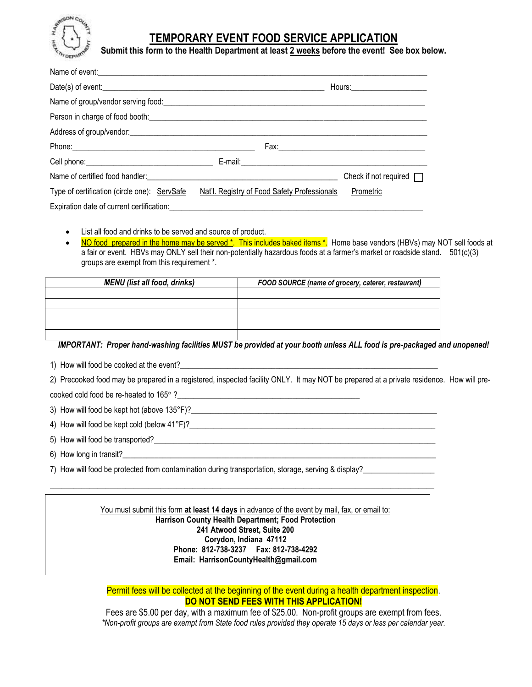

# **TEMPORARY EVENT FOOD SERVICE APPLICATION**

**Submit this form to the Health Department at least 2 weeks before the event! See box below.**

| Name of event:                                                                                                  |                                              |                              |
|-----------------------------------------------------------------------------------------------------------------|----------------------------------------------|------------------------------|
|                                                                                                                 |                                              |                              |
|                                                                                                                 |                                              |                              |
|                                                                                                                 |                                              |                              |
|                                                                                                                 |                                              |                              |
|                                                                                                                 |                                              |                              |
|                                                                                                                 |                                              |                              |
| Name of certified food handler: 1990 Manual Manual Manual Manual Manual Manual Manual Manual Manual Manual Manu |                                              | Check if not required $\Box$ |
| Type of certification (circle one): ServSafe                                                                    | Nat'l. Registry of Food Safety Professionals | Prometric                    |
|                                                                                                                 |                                              |                              |

- List all food and drinks to be served and source of product.
- NO food prepared in the home may be served \*. This includes baked items \*. Home base vendors (HBVs) may NOT sell foods at a fair or event. HBVs may ONLY sell their non-potentially hazardous foods at a farmer's market or roadside stand. 501(c)(3) groups are exempt from this requirement \*.

| <b>MENU</b> (list all food, drinks) | FOOD SOURCE (name of grocery, caterer, restaurant) |  |
|-------------------------------------|----------------------------------------------------|--|
|                                     |                                                    |  |
|                                     |                                                    |  |
|                                     |                                                    |  |
|                                     |                                                    |  |
|                                     |                                                    |  |

# *IMPORTANT: Proper hand-washing facilities MUST be provided at your booth unless ALL food is pre-packaged and unopened!*

- 1) How will food be cooked at the event?
- 2) Precooked food may be prepared in a registered, inspected facility ONLY. It may NOT be prepared at a private residence. How will precooked cold food be re-heated to 165° ?\_\_\_\_\_\_\_\_\_\_\_\_\_\_\_\_\_\_\_\_\_\_\_\_\_\_\_\_\_\_\_\_\_\_\_\_\_\_\_\_\_\_\_\_\_\_
- 
- 3) How will food be kept hot (above 135°F)?\_\_\_\_\_\_\_\_\_\_\_\_\_\_\_\_\_\_\_\_\_\_\_\_\_\_\_\_\_\_\_\_\_\_\_\_\_\_\_\_\_\_\_\_\_\_\_\_\_\_\_\_\_\_\_\_\_\_\_\_\_\_
- 4) How will food be kept cold (below  $41^{\circ}F$ )?
- 5) How will food be transported?
- 6) How long in transit?
- 7) How will food be protected from contamination during transportation, storage, serving & display?

#### You must submit this form at least 14 days in advance of the event by mail, fax, or email to: **Harrison County Health Department; Food Protection 241 Atwood Street, Suite 200 Corydon, Indiana 47112 Phone: 812-738-3237 Fax: 812-738-4292 Email: HarrisonCountyHealth@gmail.com**

 $\_$  ,  $\_$  ,  $\_$  ,  $\_$  ,  $\_$  ,  $\_$  ,  $\_$  ,  $\_$  ,  $\_$  ,  $\_$  ,  $\_$  ,  $\_$  ,  $\_$  ,  $\_$  ,  $\_$  ,  $\_$  ,  $\_$  ,  $\_$  ,  $\_$  ,  $\_$  ,  $\_$  ,  $\_$  ,  $\_$  ,  $\_$  ,  $\_$  ,  $\_$  ,  $\_$  ,  $\_$  ,  $\_$  ,  $\_$  ,  $\_$  ,  $\_$  ,  $\_$  ,  $\_$  ,  $\_$  ,  $\_$  ,  $\_$  ,

# Permit fees will be collected at the beginning of the event during a health department inspection. **DO NOT SEND FEES WITH THIS APPLICATION!**

Fees are \$5.00 per day, with a maximum fee of \$25.00. Non-profit groups are exempt from fees. *\*Non-profit groups are exempt from State food rules provided they operate 15 days or less per calendar year.*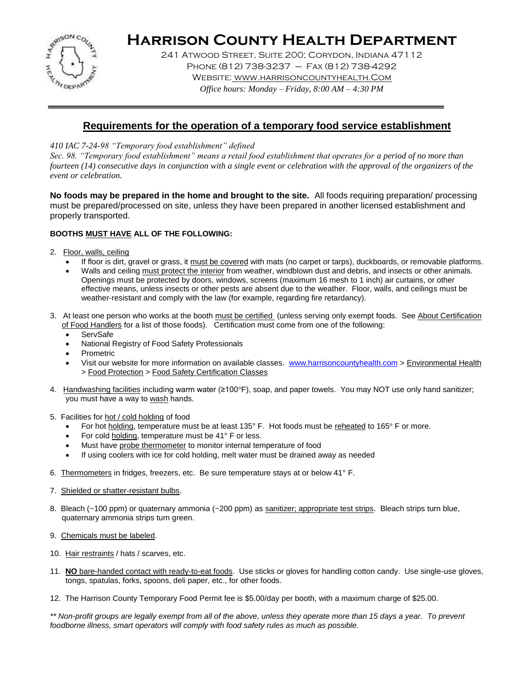

# **Harrison County Health Department**

241 Atwood Street, Suite 200; Corydon, Indiana 47112 Phone (812) 738-3237 – Fax (812) 738-4292 Website: www.harrisoncountyhealth.Com *Office hours: Monday – Friday, 8:00 AM – 4:30 PM*

# **Requirements for the operation of a temporary food service establishment**

*410 IAC 7-24-98 "Temporary food establishment" defined* 

*Sec. 98. "Temporary food establishment" means a retail food establishment that operates for a period of no more than fourteen (14) consecutive days in conjunction with a single event or celebration with the approval of the organizers of the event or celebration.*

**No foods may be prepared in the home and brought to the site.** All foods requiring preparation/ processing must be prepared/processed on site, unless they have been prepared in another licensed establishment and properly transported.

## **BOOTHS MUST HAVE ALL OF THE FOLLOWING:**

- 2. Floor, walls, ceiling
	- If floor is dirt, gravel or grass, it must be covered with mats (no carpet or tarps), duckboards, or removable platforms.
	- Walls and ceiling must protect the interior from weather, windblown dust and debris, and insects or other animals. Openings must be protected by doors, windows, screens (maximum 16 mesh to 1 inch) air curtains, or other effective means, unless insects or other pests are absent due to the weather. Floor, walls, and ceilings must be weather-resistant and comply with the law (for example, regarding fire retardancy).
- 3. At least one person who works at the booth must be certified (unless serving only exempt foods. See About Certification
	- of Food Handlers for a list of those foods). Certification must come from one of the following:
		- **ServSafe**
		- National Registry of Food Safety Professionals
	- Prometric
	- Visit our website for more information on available classes. [www.harrisoncountyhealth.com](http://www.harrisoncountyhealth.com/) > Environmental Health > Food Protection > Food Safety Certification Classes
- 4. Handwashing facilities including warm water (≥100°F), soap, and paper towels. You may NOT use only hand sanitizer; you must have a way to wash hands.
- 5. Facilities for hot / cold holding of food
	- For hot holding, temperature must be at least 135° F. Hot foods must be reheated to 165° F or more.
	- For cold holding, temperature must be 41° F or less.
	- Must have probe thermometer to monitor internal temperature of food
	- If using coolers with ice for cold holding, melt water must be drained away as needed
- 6. Thermometers in fridges, freezers, etc. Be sure temperature stays at or below 41° F.
- 7. Shielded or shatter-resistant bulbs.
- 8. Bleach (~100 ppm) or quaternary ammonia (~200 ppm) as sanitizer; appropriate test strips. Bleach strips turn blue, quaternary ammonia strips turn green.
- 9. Chemicals must be labeled.
- 10. Hair restraints / hats / scarves, etc.
- 11. **NO** bare-handed contact with ready-to-eat foods. Use sticks or gloves for handling cotton candy. Use single-use gloves, tongs, spatulas, forks, spoons, deli paper, etc., for other foods.
- 12. The Harrison County Temporary Food Permit fee is \$5.00/day per booth, with a maximum charge of \$25.00.

*\*\* Non-profit groups are legally exempt from all of the above, unless they operate more than 15 days a year. To prevent foodborne illness, smart operators will comply with food safety rules as much as possible.*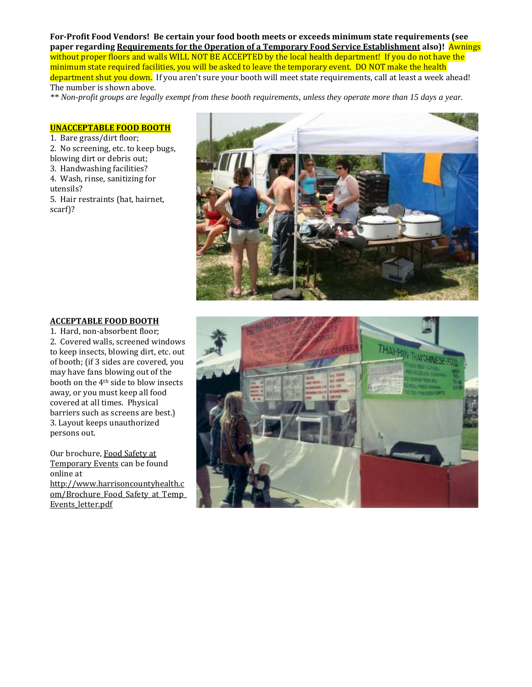**For-Profit Food Vendors! Be certain your food booth meets or exceeds minimum state requirements (see paper regarding Requirements for the Operation of a Temporary Food Service Establishment also)!** Awnings without proper floors and walls WILL NOT BE ACCEPTED by the local health department! If you do not have the minimum state required facilities, you will be asked to leave the temporary event. DO NOT make the health department shut you down. If you aren't sure your booth will meet state requirements, call at least a week ahead! The number is shown above.

*\*\* Non-profit groups are legally exempt from these booth requirements, unless they operate more than 15 days a year.* 

#### **UNACCEPTABLE FOOD BOOTH**

1. Bare grass/dirt floor; 2. No screening, etc. to keep bugs, blowing dirt or debris out; 3. Handwashing facilities? 4. Wash, rinse, sanitizing for utensils? 5. Hair restraints (hat, hairnet,

scarf)?



#### **ACCEPTABLE FOOD BOOTH**

1. Hard, non-absorbent floor; 2. Covered walls, screened windows to keep insects, blowing dirt, etc. out of booth; (if 3 sides are covered, you may have fans blowing out of the booth on the 4th side to blow insects away, or you must keep all food covered at all times. Physical barriers such as screens are best.) 3. Layout keeps unauthorized persons out.

Our brochure, Food Safety at Temporary Events can be found online at [http://www.harrisoncountyhealth.c](http://www.harrisoncountyhealth.com/Brochure_Food_Safety_at_Temp_Events_letter.pdf) om/Brochure Food Safety at Temp [Events\\_letter.pdf](http://www.harrisoncountyhealth.com/Brochure_Food_Safety_at_Temp_Events_letter.pdf)

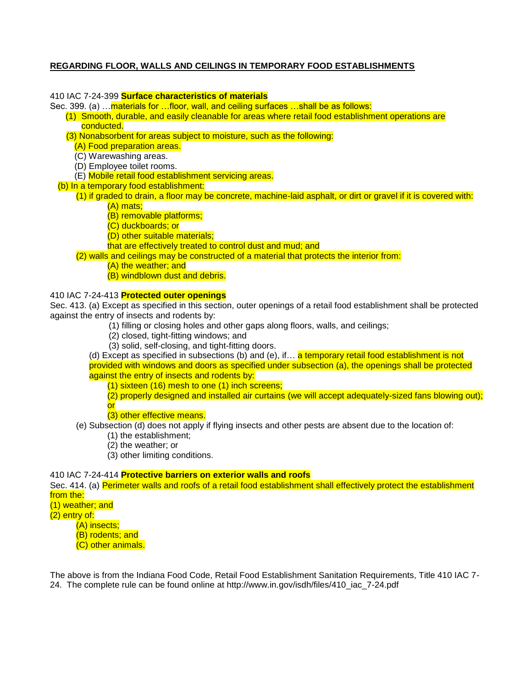## **REGARDING FLOOR, WALLS AND CEILINGS IN TEMPORARY FOOD ESTABLISHMENTS**

#### 410 IAC 7-24-399 **Surface characteristics of materials**

Sec. 399. (a) …materials for …floor, wall, and ceiling surfaces …shall be as follows:

- (1) Smooth, durable, and easily cleanable for areas where retail food establishment operations are conducted.
- (3) Nonabsorbent for areas subject to moisture, such as the following:
	- (A) Food preparation areas.
	- (C) Warewashing areas.
	- (D) Employee toilet rooms.
	- (E) Mobile retail food establishment servicing areas.
- (b) In a temporary food establishment:
	- (1) if graded to drain, a floor may be concrete, machine-laid asphalt, or dirt or gravel if it is covered with: (A) mats;
		- (B) removable platforms;
		- (C) duckboards; or
		- (D) other suitable materials;
		- that are effectively treated to control dust and mud; and

(2) walls and ceilings may be constructed of a material that protects the interior from:

- (A) the weather; and
- (B) windblown dust and debris.

## 410 IAC 7-24-413 **Protected outer openings**

Sec. 413. (a) Except as specified in this section, outer openings of a retail food establishment shall be protected against the entry of insects and rodents by:

- (1) filling or closing holes and other gaps along floors, walls, and ceilings;
- (2) closed, tight-fitting windows; and
- (3) solid, self-closing, and tight-fitting doors.

(d) Except as specified in subsections (b) and (e), if... a temporary retail food establishment is not provided with windows and doors as specified under subsection (a), the openings shall be protected against the entry of insects and rodents by:

(1) sixteen (16) mesh to one (1) inch screens;

(2) properly designed and installed air curtains (we will accept adequately-sized fans blowing out); or

(3) other effective means.

- (e) Subsection (d) does not apply if flying insects and other pests are absent due to the location of:
	- (1) the establishment;
		- (2) the weather; or
		- (3) other limiting conditions.

410 IAC 7-24-414 **Protective barriers on exterior walls and roofs**

Sec. 414. (a) Perimeter walls and roofs of a retail food establishment shall effectively protect the establishment from the:

(1) weather; and

(2) entry of:

(A) insects; (B) rodents; and

(C) other animals.

The above is from the Indiana Food Code, Retail Food Establishment Sanitation Requirements, Title 410 IAC 7- 24. The complete rule can be found online at http://www.in.gov/isdh/files/410\_iac\_7-24.pdf